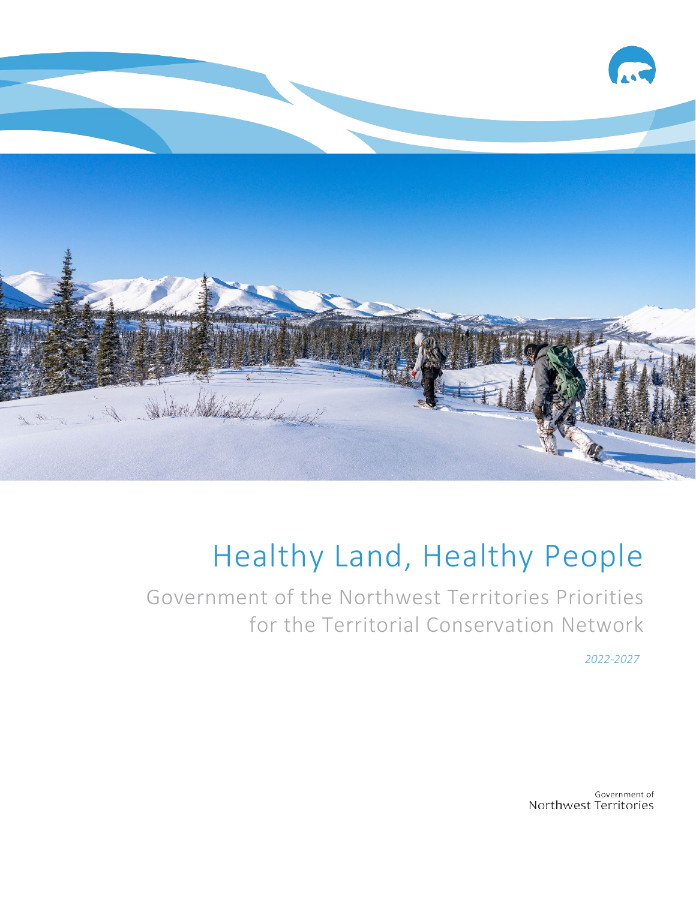

# Healthy Land, Healthy People

Government of the Northwest Territories Priorities for the Territorial Conservation Network

*2022-2027*

Government of Northwest Territories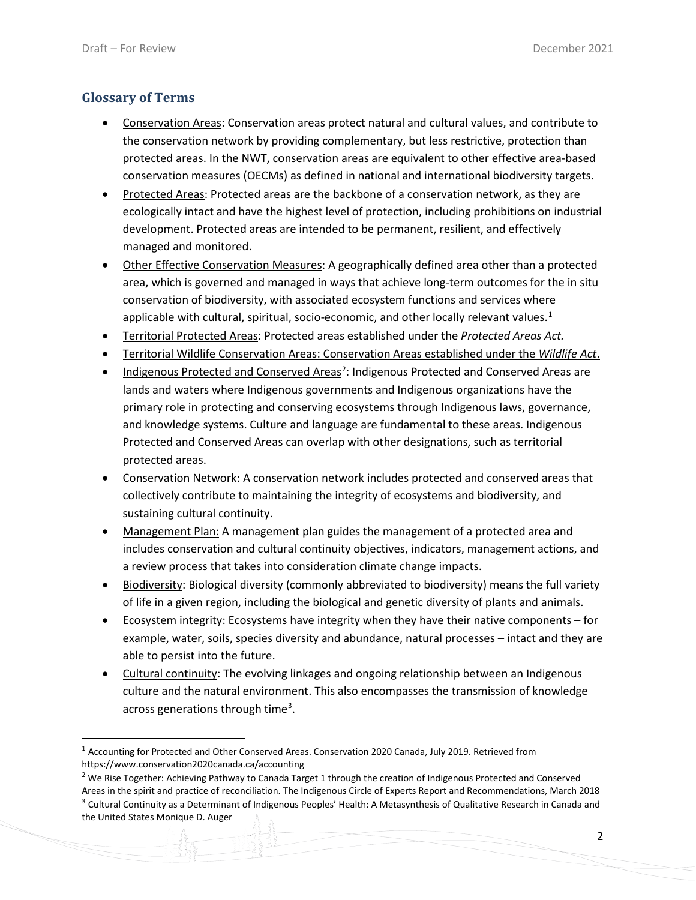#### **Glossary of Terms**

- Conservation Areas: Conservation areas protect natural and cultural values, and contribute to the conservation network by providing complementary, but less restrictive, protection than protected areas. In the NWT, conservation areas are equivalent to other effective area-based conservation measures (OECMs) as defined in national and international biodiversity targets.
- Protected Areas: Protected areas are the backbone of a conservation network, as they are ecologically intact and have the highest level of protection, including prohibitions on industrial development. Protected areas are intended to be permanent, resilient, and effectively managed and monitored.
- Other Effective Conservation Measures: A geographically defined area other than a protected area, which is governed and managed in ways that achieve long-term outcomes for the in situ conservation of biodiversity, with associated ecosystem functions and services where applicable with cultural, spiritual, socio-economic, and other locally relevant values. $1$
- Territorial Protected Areas: Protected areas established under the *Protected Areas Act.*
- Territorial Wildlife Conservation Areas: Conservation Areas established under the *Wildlife Act*.
- Indigenous Protected and Conserved Areas<sup>[2](#page-1-1)</sup>: Indigenous Protected and Conserved Areas are lands and waters where Indigenous governments and Indigenous organizations have the primary role in protecting and conserving ecosystems through Indigenous laws, governance, and knowledge systems. Culture and language are fundamental to these areas. Indigenous Protected and Conserved Areas can overlap with other designations, such as territorial protected areas.
- Conservation Network: A conservation network includes protected and conserved areas that collectively contribute to maintaining the integrity of ecosystems and biodiversity, and sustaining cultural continuity.
- Management Plan: A management plan guides the management of a protected area and includes conservation and cultural continuity objectives, indicators, management actions, and a review process that takes into consideration climate change impacts.
- Biodiversity: Biological diversity (commonly abbreviated to biodiversity) means the full variety of life in a given region, including the biological and genetic diversity of plants and animals.
- Ecosystem integrity: Ecosystems have integrity when they have their native components for example, water, soils, species diversity and abundance, natural processes – intact and they are able to persist into the future.
- Cultural continuity: The evolving linkages and ongoing relationship between an Indigenous culture and the natural environment. This also encompasses the transmission of knowledge across generations through time<sup>[3](#page-1-2)</sup>.

<span id="page-1-0"></span><sup>&</sup>lt;sup>1</sup> Accounting for Protected and Other Conserved Areas. Conservation 2020 Canada, July 2019. Retrieved from https://www.conservation2020canada.ca/accounting

<span id="page-1-2"></span><span id="page-1-1"></span><sup>&</sup>lt;sup>2</sup> We Rise Together: Achieving Pathway to Canada Target 1 through the creation of Indigenous Protected and Conserved Areas in the spirit and practice of reconciliation. The Indigenous Circle of Experts Report and Recommendations, March 2018 <sup>3</sup> Cultural Continuity as a Determinant of Indigenous Peoples' Health: A Metasynthesis of Qualitative Research in Canada and the United States Monique D. Auger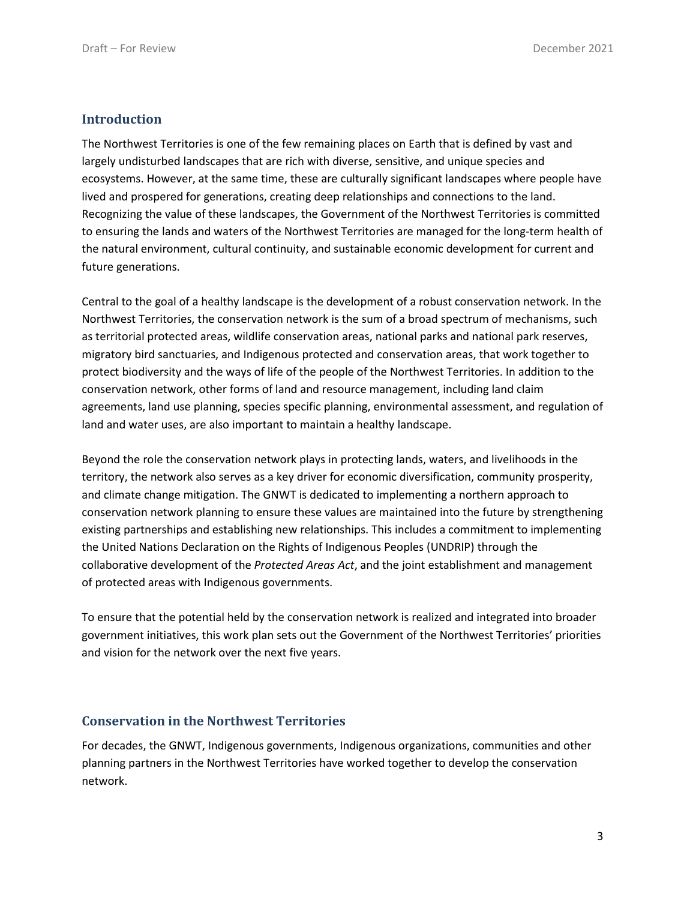#### **Introduction**

The Northwest Territories is one of the few remaining places on Earth that is defined by vast and largely undisturbed landscapes that are rich with diverse, sensitive, and unique species and ecosystems. However, at the same time, these are culturally significant landscapes where people have lived and prospered for generations, creating deep relationships and connections to the land. Recognizing the value of these landscapes, the Government of the Northwest Territories is committed to ensuring the lands and waters of the Northwest Territories are managed for the long-term health of the natural environment, cultural continuity, and sustainable economic development for current and future generations.

Central to the goal of a healthy landscape is the development of a robust conservation network. In the Northwest Territories, the conservation network is the sum of a broad spectrum of mechanisms, such as territorial protected areas, wildlife conservation areas, national parks and national park reserves, migratory bird sanctuaries, and Indigenous protected and conservation areas, that work together to protect biodiversity and the ways of life of the people of the Northwest Territories. In addition to the conservation network, other forms of land and resource management, including land claim agreements, land use planning, species specific planning, environmental assessment, and regulation of land and water uses, are also important to maintain a healthy landscape.

Beyond the role the conservation network plays in protecting lands, waters, and livelihoods in the territory, the network also serves as a key driver for economic diversification, community prosperity, and climate change mitigation. The GNWT is dedicated to implementing a northern approach to conservation network planning to ensure these values are maintained into the future by strengthening existing partnerships and establishing new relationships. This includes a commitment to implementing the United Nations Declaration on the Rights of Indigenous Peoples (UNDRIP) through the collaborative development of the *Protected Areas Act*, and the joint establishment and management of protected areas with Indigenous governments.

To ensure that the potential held by the conservation network is realized and integrated into broader government initiatives, this work plan sets out the Government of the Northwest Territories' priorities and vision for the network over the next five years.

#### **Conservation in the Northwest Territories**

For decades, the GNWT, Indigenous governments, Indigenous organizations, communities and other planning partners in the Northwest Territories have worked together to develop the conservation network.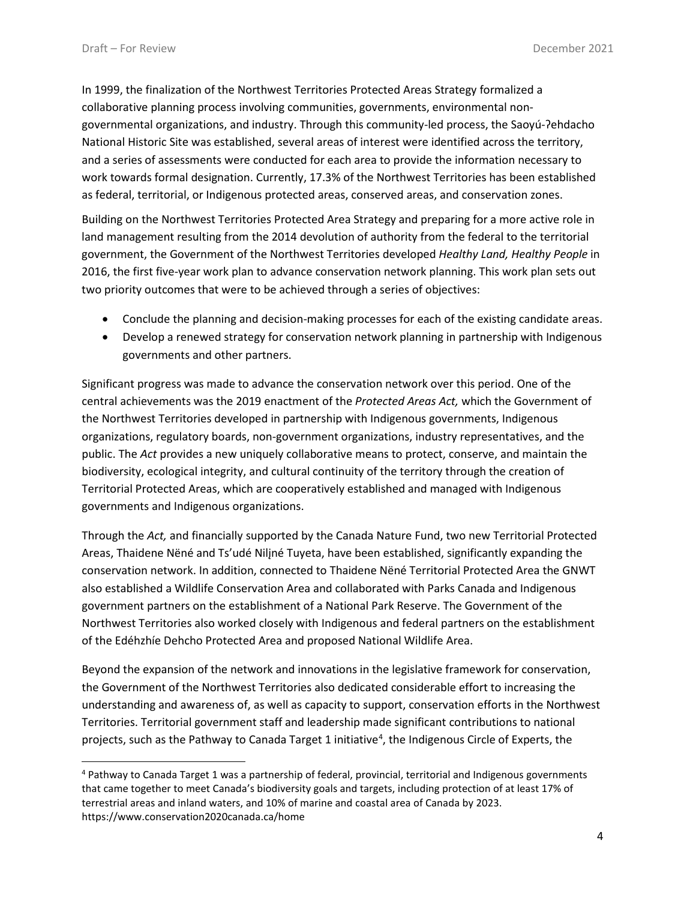In 1999, the finalization of the Northwest Territories Protected Areas Strategy formalized a collaborative planning process involving communities, governments, environmental nongovernmental organizations, and industry. Through this community-led process, the Saoyú-?ehdacho National Historic Site was established, several areas of interest were identified across the territory, and a series of assessments were conducted for each area to provide the information necessary to work towards formal designation. Currently, 17.3% of the Northwest Territories has been established as federal, territorial, or Indigenous protected areas, conserved areas, and conservation zones.

Building on the Northwest Territories Protected Area Strategy and preparing for a more active role in land management resulting from the 2014 devolution of authority from the federal to the territorial government, the Government of the Northwest Territories developed *Healthy Land, Healthy People* in 2016, the first five-year work plan to advance conservation network planning. This work plan sets out two priority outcomes that were to be achieved through a series of objectives:

- Conclude the planning and decision-making processes for each of the existing candidate areas.
- Develop a renewed strategy for conservation network planning in partnership with Indigenous governments and other partners.

Significant progress was made to advance the conservation network over this period. One of the central achievements was the 2019 enactment of the *Protected Areas Act,* which the Government of the Northwest Territories developed in partnership with Indigenous governments, Indigenous organizations, regulatory boards, non-government organizations, industry representatives, and the public. The *Act* provides a new uniquely collaborative means to protect, conserve, and maintain the biodiversity, ecological integrity, and cultural continuity of the territory through the creation of Territorial Protected Areas, which are cooperatively established and managed with Indigenous governments and Indigenous organizations.

Through the *Act,* and financially supported by the Canada Nature Fund, two new Territorial Protected Areas, Thaidene Nëné and Ts'udé Nilįné Tuyeta, have been established, significantly expanding the conservation network. In addition, connected to Thaidene Nëné Territorial Protected Area the GNWT also established a Wildlife Conservation Area and collaborated with Parks Canada and Indigenous government partners on the establishment of a National Park Reserve. The Government of the Northwest Territories also worked closely with Indigenous and federal partners on the establishment of the Edéhzhíe Dehcho Protected Area and proposed National Wildlife Area.

Beyond the expansion of the network and innovations in the legislative framework for conservation, the Government of the Northwest Territories also dedicated considerable effort to increasing the understanding and awareness of, as well as capacity to support, conservation efforts in the Northwest Territories. Territorial government staff and leadership made significant contributions to national projects, such as the Pathway to Canada Target 1 initiative<sup>[4](#page-3-0)</sup>, the Indigenous Circle of Experts, the

<span id="page-3-0"></span><sup>4</sup> Pathway to Canada Target 1 was a partnership of federal, provincial, territorial and Indigenous governments that came together to meet Canada's biodiversity goals and targets, including protection of at least 17% of terrestrial areas and inland waters, and 10% of marine and coastal area of Canada by 2023. https://www.conservation2020canada.ca/home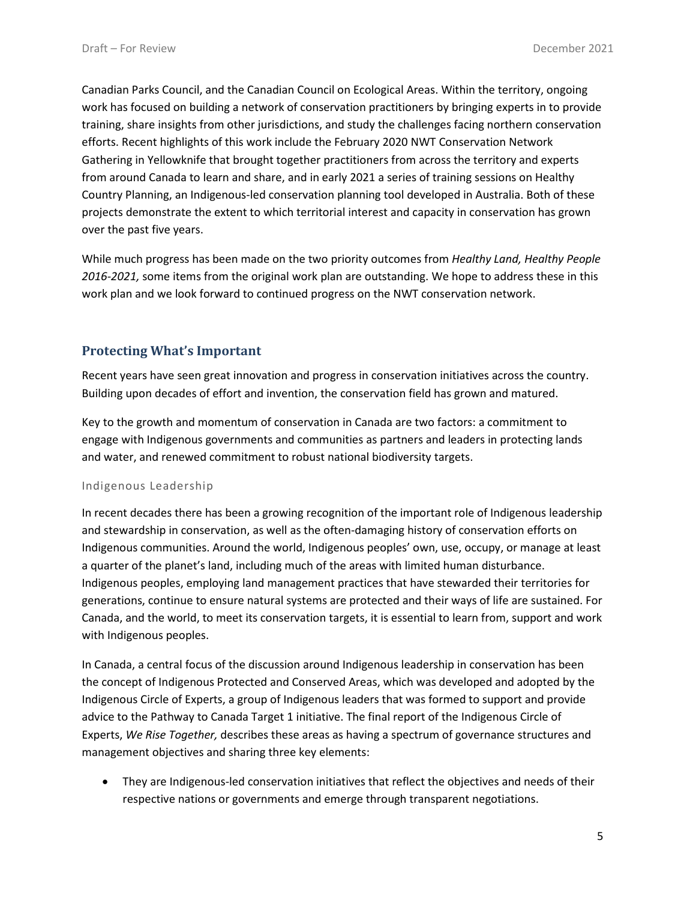Canadian Parks Council, and the Canadian Council on Ecological Areas. Within the territory, ongoing work has focused on building a network of conservation practitioners by bringing experts in to provide training, share insights from other jurisdictions, and study the challenges facing northern conservation efforts. Recent highlights of this work include the February 2020 NWT Conservation Network Gathering in Yellowknife that brought together practitioners from across the territory and experts from around Canada to learn and share, and in early 2021 a series of training sessions on Healthy Country Planning, an Indigenous-led conservation planning tool developed in Australia. Both of these projects demonstrate the extent to which territorial interest and capacity in conservation has grown over the past five years.

While much progress has been made on the two priority outcomes from *Healthy Land, Healthy People 2016-2021,* some items from the original work plan are outstanding. We hope to address these in this work plan and we look forward to continued progress on the NWT conservation network.

#### **Protecting What's Important**

Recent years have seen great innovation and progress in conservation initiatives across the country. Building upon decades of effort and invention, the conservation field has grown and matured.

Key to the growth and momentum of conservation in Canada are two factors: a commitment to engage with Indigenous governments and communities as partners and leaders in protecting lands and water, and renewed commitment to robust national biodiversity targets.

#### Indigenous Leadership

In recent decades there has been a growing recognition of the important role of Indigenous leadership and stewardship in conservation, as well as the often-damaging history of conservation efforts on Indigenous communities. Around the world, Indigenous peoples' own, use, occupy, or manage at least a quarter of the planet's land, including much of the areas with limited human disturbance. Indigenous peoples, employing land management practices that have stewarded their territories for generations, continue to ensure natural systems are protected and their ways of life are sustained. For Canada, and the world, to meet its conservation targets, it is essential to learn from, support and work with Indigenous peoples.

In Canada, a central focus of the discussion around Indigenous leadership in conservation has been the concept of Indigenous Protected and Conserved Areas, which was developed and adopted by the Indigenous Circle of Experts, a group of Indigenous leaders that was formed to support and provide advice to the Pathway to Canada Target 1 initiative. The final report of the Indigenous Circle of Experts, *We Rise Together,* describes these areas as having a spectrum of governance structures and management objectives and sharing three key elements:

• They are Indigenous-led conservation initiatives that reflect the objectives and needs of their respective nations or governments and emerge through transparent negotiations.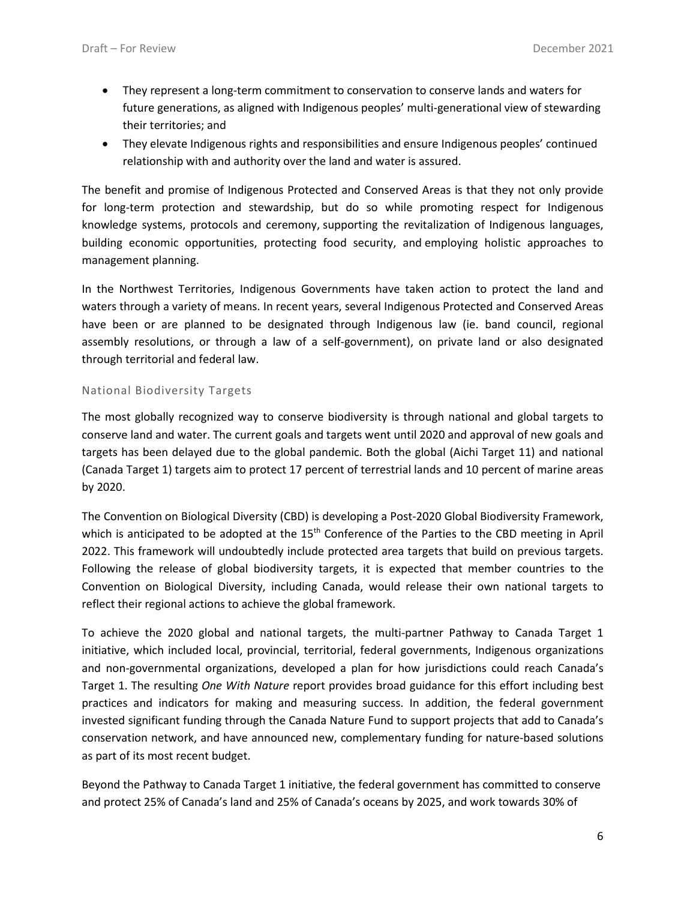- They represent a long-term commitment to conservation to conserve lands and waters for future generations, as aligned with Indigenous peoples' multi-generational view of stewarding their territories; and
- They elevate Indigenous rights and responsibilities and ensure Indigenous peoples' continued relationship with and authority over the land and water is assured.

The benefit and promise of Indigenous Protected and Conserved Areas is that they not only provide for long-term protection and stewardship, but do so while promoting respect for Indigenous knowledge systems, protocols and ceremony, supporting the revitalization of Indigenous languages, building economic opportunities, protecting food security, and employing holistic approaches to management planning.

In the Northwest Territories, Indigenous Governments have taken action to protect the land and waters through a variety of means. In recent years, several Indigenous Protected and Conserved Areas have been or are planned to be designated through Indigenous law (ie. band council, regional assembly resolutions, or through a law of a self-government), on private land or also designated through territorial and federal law.

#### National Biodiversity Targets

The most globally recognized way to conserve biodiversity is through national and global targets to conserve land and water. The current goals and targets went until 2020 and approval of new goals and targets has been delayed due to the global pandemic. Both the global (Aichi Target 11) and national (Canada Target 1) targets aim to protect 17 percent of terrestrial lands and 10 percent of marine areas by 2020.

The Convention on Biological Diversity (CBD) is developing a Post-2020 Global Biodiversity Framework, which is anticipated to be adopted at the 15<sup>th</sup> Conference of the Parties to the CBD meeting in April 2022. This framework will undoubtedly include protected area targets that build on previous targets. Following the release of global biodiversity targets, it is expected that member countries to the Convention on Biological Diversity, including Canada, would release their own national targets to reflect their regional actions to achieve the global framework.

To achieve the 2020 global and national targets, the multi-partner Pathway to Canada Target 1 initiative, which included local, provincial, territorial, federal governments, Indigenous organizations and non-governmental organizations, developed a plan for how jurisdictions could reach Canada's Target 1. The resulting *One With Nature* report provides broad guidance for this effort including best practices and indicators for making and measuring success. In addition, the federal government invested significant funding through the Canada Nature Fund to support projects that add to Canada's conservation network, and have announced new, complementary funding for nature-based solutions as part of its most recent budget.

Beyond the Pathway to Canada Target 1 initiative, the federal government has committed to conserve and protect 25% of Canada's land and 25% of Canada's oceans by 2025, and work towards 30% of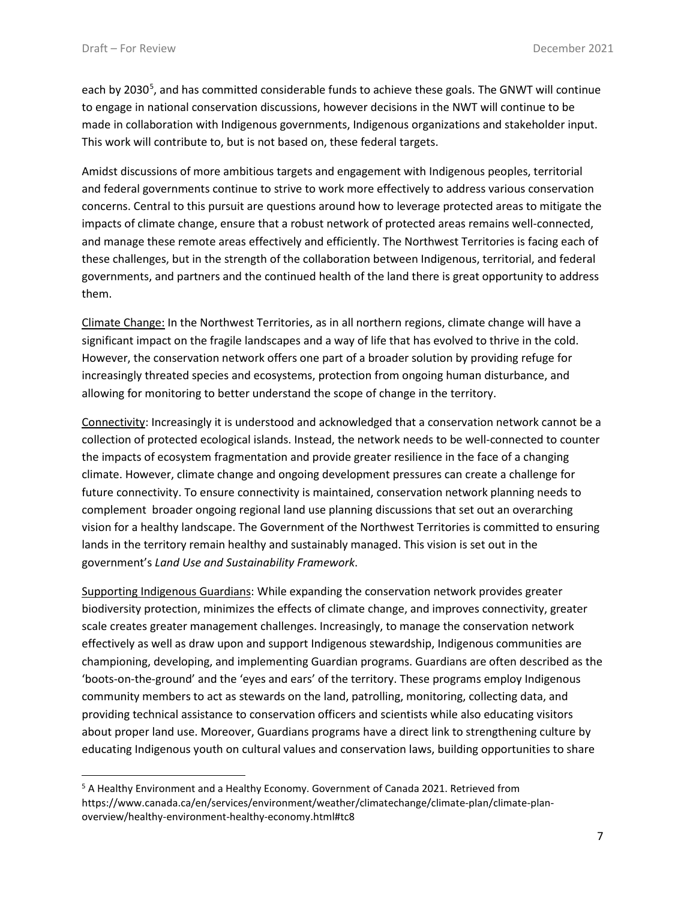each by 2030<sup>[5](#page-6-0)</sup>, and has committed considerable funds to achieve these goals. The GNWT will continue to engage in national conservation discussions, however decisions in the NWT will continue to be made in collaboration with Indigenous governments, Indigenous organizations and stakeholder input. This work will contribute to, but is not based on, these federal targets.

Amidst discussions of more ambitious targets and engagement with Indigenous peoples, territorial and federal governments continue to strive to work more effectively to address various conservation concerns. Central to this pursuit are questions around how to leverage protected areas to mitigate the impacts of climate change, ensure that a robust network of protected areas remains well-connected, and manage these remote areas effectively and efficiently. The Northwest Territories is facing each of these challenges, but in the strength of the collaboration between Indigenous, territorial, and federal governments, and partners and the continued health of the land there is great opportunity to address them.

Climate Change: In the Northwest Territories, as in all northern regions, climate change will have a significant impact on the fragile landscapes and a way of life that has evolved to thrive in the cold. However, the conservation network offers one part of a broader solution by providing refuge for increasingly threated species and ecosystems, protection from ongoing human disturbance, and allowing for monitoring to better understand the scope of change in the territory.

Connectivity: Increasingly it is understood and acknowledged that a conservation network cannot be a collection of protected ecological islands. Instead, the network needs to be well-connected to counter the impacts of ecosystem fragmentation and provide greater resilience in the face of a changing climate. However, climate change and ongoing development pressures can create a challenge for future connectivity. To ensure connectivity is maintained, conservation network planning needs to complement broader ongoing regional land use planning discussions that set out an overarching vision for a healthy landscape. The Government of the Northwest Territories is committed to ensuring lands in the territory remain healthy and sustainably managed. This vision is set out in the government's *Land Use and Sustainability Framework*.

Supporting Indigenous Guardians: While expanding the conservation network provides greater biodiversity protection, minimizes the effects of climate change, and improves connectivity, greater scale creates greater management challenges. Increasingly, to manage the conservation network effectively as well as draw upon and support Indigenous stewardship, Indigenous communities are championing, developing, and implementing Guardian programs. Guardians are often described as the 'boots-on-the-ground' and the 'eyes and ears' of the territory. These programs employ Indigenous community members to act as stewards on the land, patrolling, monitoring, collecting data, and providing technical assistance to conservation officers and scientists while also educating visitors about proper land use. Moreover, Guardians programs have a direct link to strengthening culture by educating Indigenous youth on cultural values and conservation laws, building opportunities to share

<span id="page-6-0"></span><sup>&</sup>lt;sup>5</sup> A Healthy Environment and a Healthy Economy. Government of Canada 2021. Retrieved from https://www.canada.ca/en/services/environment/weather/climatechange/climate-plan/climate-planoverview/healthy-environment-healthy-economy.html#tc8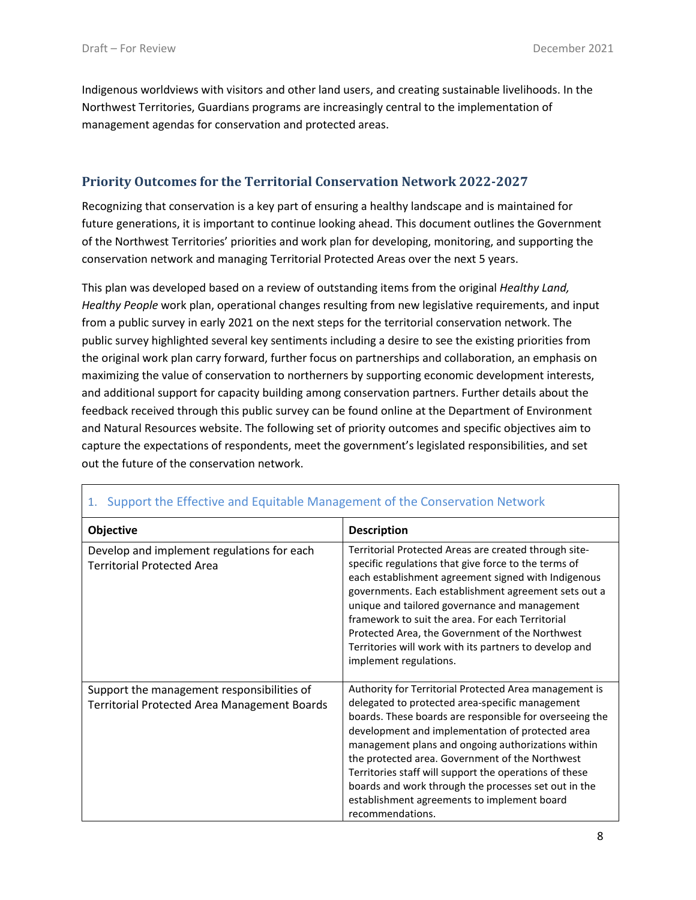Indigenous worldviews with visitors and other land users, and creating sustainable livelihoods. In the Northwest Territories, Guardians programs are increasingly central to the implementation of management agendas for conservation and protected areas.

#### **Priority Outcomes for the Territorial Conservation Network 2022-2027**

Recognizing that conservation is a key part of ensuring a healthy landscape and is maintained for future generations, it is important to continue looking ahead. This document outlines the Government of the Northwest Territories' priorities and work plan for developing, monitoring, and supporting the conservation network and managing Territorial Protected Areas over the next 5 years.

This plan was developed based on a review of outstanding items from the original *Healthy Land, Healthy People* work plan, operational changes resulting from new legislative requirements, and input from a public survey in early 2021 on the next steps for the territorial conservation network. The public survey highlighted several key sentiments including a desire to see the existing priorities from the original work plan carry forward, further focus on partnerships and collaboration, an emphasis on maximizing the value of conservation to northerners by supporting economic development interests, and additional support for capacity building among conservation partners. Further details about the feedback received through this public survey can be found online at the Department of Environment and Natural Resources website. The following set of priority outcomes and specific objectives aim to capture the expectations of respondents, meet the government's legislated responsibilities, and set out the future of the conservation network.

| Objective                                                                                         | <b>Description</b>                                                                                                                                                                                                                                                                                                                                                                                                                                                                                                     |
|---------------------------------------------------------------------------------------------------|------------------------------------------------------------------------------------------------------------------------------------------------------------------------------------------------------------------------------------------------------------------------------------------------------------------------------------------------------------------------------------------------------------------------------------------------------------------------------------------------------------------------|
| Develop and implement regulations for each<br><b>Territorial Protected Area</b>                   | Territorial Protected Areas are created through site-<br>specific regulations that give force to the terms of<br>each establishment agreement signed with Indigenous<br>governments. Each establishment agreement sets out a<br>unique and tailored governance and management<br>framework to suit the area. For each Territorial<br>Protected Area, the Government of the Northwest<br>Territories will work with its partners to develop and<br>implement regulations.                                               |
| Support the management responsibilities of<br><b>Territorial Protected Area Management Boards</b> | Authority for Territorial Protected Area management is<br>delegated to protected area-specific management<br>boards. These boards are responsible for overseeing the<br>development and implementation of protected area<br>management plans and ongoing authorizations within<br>the protected area. Government of the Northwest<br>Territories staff will support the operations of these<br>boards and work through the processes set out in the<br>establishment agreements to implement board<br>recommendations. |

#### 1. Support the Effective and Equitable Management of the Conservation Network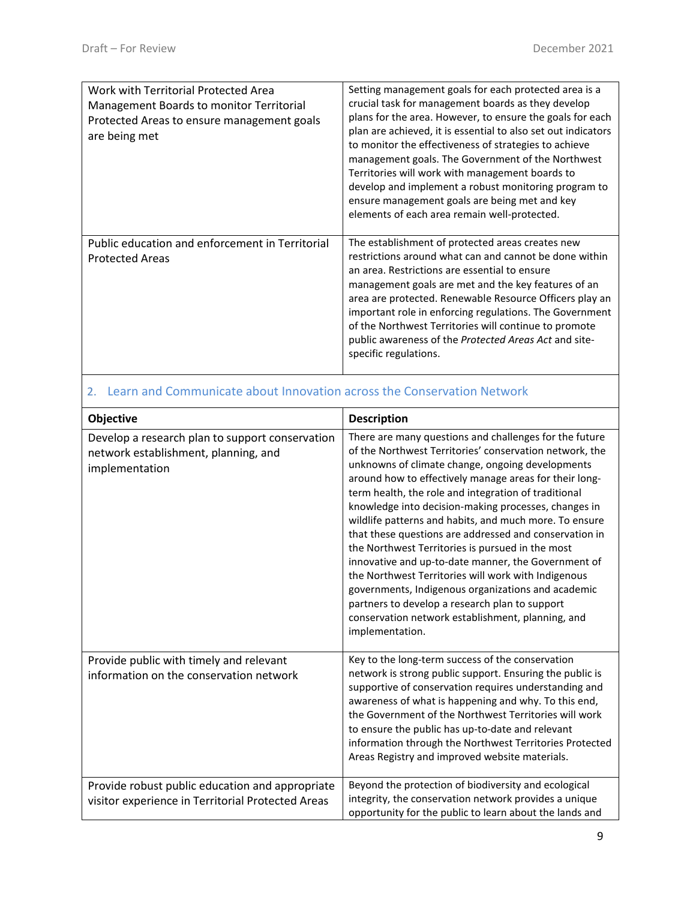| Work with Territorial Protected Area<br>Management Boards to monitor Territorial<br>Protected Areas to ensure management goals<br>are being met | Setting management goals for each protected area is a<br>crucial task for management boards as they develop<br>plans for the area. However, to ensure the goals for each<br>plan are achieved, it is essential to also set out indicators<br>to monitor the effectiveness of strategies to achieve<br>management goals. The Government of the Northwest<br>Territories will work with management boards to<br>develop and implement a robust monitoring program to<br>ensure management goals are being met and key<br>elements of each area remain well-protected. |
|-------------------------------------------------------------------------------------------------------------------------------------------------|---------------------------------------------------------------------------------------------------------------------------------------------------------------------------------------------------------------------------------------------------------------------------------------------------------------------------------------------------------------------------------------------------------------------------------------------------------------------------------------------------------------------------------------------------------------------|
| Public education and enforcement in Territorial<br><b>Protected Areas</b>                                                                       | The establishment of protected areas creates new<br>restrictions around what can and cannot be done within<br>an area. Restrictions are essential to ensure<br>management goals are met and the key features of an<br>area are protected. Renewable Resource Officers play an<br>important role in enforcing regulations. The Government<br>of the Northwest Territories will continue to promote<br>public awareness of the Protected Areas Act and site-<br>specific regulations.                                                                                 |

### 2. Learn and Communicate about Innovation across the Conservation Network

| Objective                                                                                                 | <b>Description</b>                                                                                                                                                                                                                                                                                                                                                                                                                                                                                                                                                                                                                                                                                                                                                                                                    |
|-----------------------------------------------------------------------------------------------------------|-----------------------------------------------------------------------------------------------------------------------------------------------------------------------------------------------------------------------------------------------------------------------------------------------------------------------------------------------------------------------------------------------------------------------------------------------------------------------------------------------------------------------------------------------------------------------------------------------------------------------------------------------------------------------------------------------------------------------------------------------------------------------------------------------------------------------|
| Develop a research plan to support conservation<br>network establishment, planning, and<br>implementation | There are many questions and challenges for the future<br>of the Northwest Territories' conservation network, the<br>unknowns of climate change, ongoing developments<br>around how to effectively manage areas for their long-<br>term health, the role and integration of traditional<br>knowledge into decision-making processes, changes in<br>wildlife patterns and habits, and much more. To ensure<br>that these questions are addressed and conservation in<br>the Northwest Territories is pursued in the most<br>innovative and up-to-date manner, the Government of<br>the Northwest Territories will work with Indigenous<br>governments, Indigenous organizations and academic<br>partners to develop a research plan to support<br>conservation network establishment, planning, and<br>implementation. |
| Provide public with timely and relevant<br>information on the conservation network                        | Key to the long-term success of the conservation<br>network is strong public support. Ensuring the public is<br>supportive of conservation requires understanding and<br>awareness of what is happening and why. To this end,<br>the Government of the Northwest Territories will work<br>to ensure the public has up-to-date and relevant<br>information through the Northwest Territories Protected<br>Areas Registry and improved website materials.                                                                                                                                                                                                                                                                                                                                                               |
| Provide robust public education and appropriate<br>visitor experience in Territorial Protected Areas      | Beyond the protection of biodiversity and ecological<br>integrity, the conservation network provides a unique<br>opportunity for the public to learn about the lands and                                                                                                                                                                                                                                                                                                                                                                                                                                                                                                                                                                                                                                              |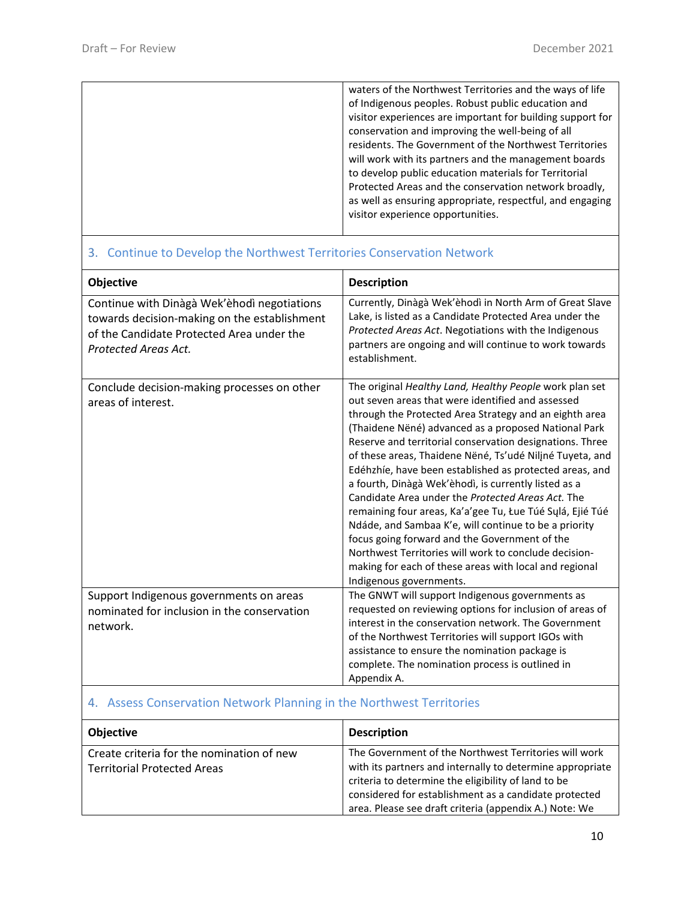| waters of the Northwest Territories and the ways of life   |
|------------------------------------------------------------|
| of Indigenous peoples. Robust public education and         |
| visitor experiences are important for building support for |
| conservation and improving the well-being of all           |
| residents. The Government of the Northwest Territories     |
| will work with its partners and the management boards      |
| to develop public education materials for Territorial      |
| Protected Areas and the conservation network broadly,      |
| as well as ensuring appropriate, respectful, and engaging  |
| visitor experience opportunities.                          |
|                                                            |

### 3. Continue to Develop the Northwest Territories Conservation Network

| Objective                                                                                                                                                        | <b>Description</b>                                                                                                                                                                                                                                                                                                                                                                                                                                                                                                                                                                                                                                                                                                                                                                                                                                  |
|------------------------------------------------------------------------------------------------------------------------------------------------------------------|-----------------------------------------------------------------------------------------------------------------------------------------------------------------------------------------------------------------------------------------------------------------------------------------------------------------------------------------------------------------------------------------------------------------------------------------------------------------------------------------------------------------------------------------------------------------------------------------------------------------------------------------------------------------------------------------------------------------------------------------------------------------------------------------------------------------------------------------------------|
| Continue with Dinàgà Wek'èhodì negotiations<br>towards decision-making on the establishment<br>of the Candidate Protected Area under the<br>Protected Areas Act. | Currently, Dinàgà Wek'èhodì in North Arm of Great Slave<br>Lake, is listed as a Candidate Protected Area under the<br>Protected Areas Act. Negotiations with the Indigenous<br>partners are ongoing and will continue to work towards<br>establishment.                                                                                                                                                                                                                                                                                                                                                                                                                                                                                                                                                                                             |
| Conclude decision-making processes on other<br>areas of interest.                                                                                                | The original Healthy Land, Healthy People work plan set<br>out seven areas that were identified and assessed<br>through the Protected Area Strategy and an eighth area<br>(Thaidene Nëné) advanced as a proposed National Park<br>Reserve and territorial conservation designations. Three<br>of these areas, Thaidene Nëné, Ts'udé Niliné Tuyeta, and<br>Edéhzhíe, have been established as protected areas, and<br>a fourth, Dinàgà Wek'èhodì, is currently listed as a<br>Candidate Area under the Protected Areas Act. The<br>remaining four areas, Ka'a'gee Tu, Łue Túé Sųlá, Ejié Túé<br>Ndáde, and Sambaa K'e, will continue to be a priority<br>focus going forward and the Government of the<br>Northwest Territories will work to conclude decision-<br>making for each of these areas with local and regional<br>Indigenous governments. |
| Support Indigenous governments on areas<br>nominated for inclusion in the conservation<br>network.                                                               | The GNWT will support Indigenous governments as<br>requested on reviewing options for inclusion of areas of<br>interest in the conservation network. The Government<br>of the Northwest Territories will support IGOs with<br>assistance to ensure the nomination package is<br>complete. The nomination process is outlined in<br>Appendix A.                                                                                                                                                                                                                                                                                                                                                                                                                                                                                                      |

# 4. Assess Conservation Network Planning in the Northwest Territories

| <b>Objective</b>                          | <b>Description</b>                                        |
|-------------------------------------------|-----------------------------------------------------------|
| Create criteria for the nomination of new | The Government of the Northwest Territories will work     |
| <b>Territorial Protected Areas</b>        | with its partners and internally to determine appropriate |
|                                           | criteria to determine the eligibility of land to be       |
|                                           | considered for establishment as a candidate protected     |
|                                           | area. Please see draft criteria (appendix A.) Note: We    |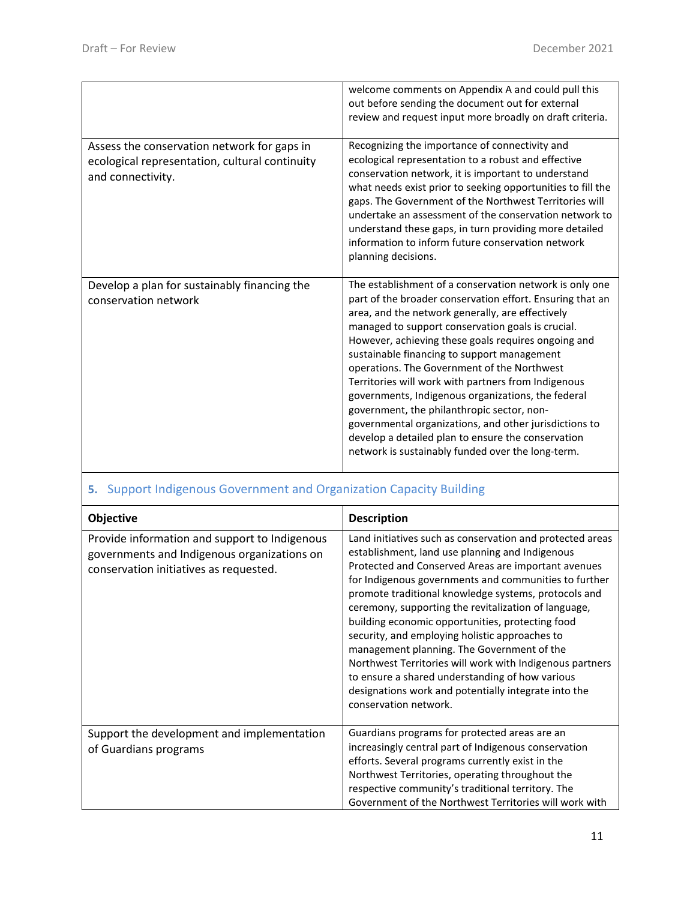|                                                                                                                    | welcome comments on Appendix A and could pull this<br>out before sending the document out for external<br>review and request input more broadly on draft criteria.                                                                                                                                                                                                                                                                                                                                                                                                                                                                                                                                                 |
|--------------------------------------------------------------------------------------------------------------------|--------------------------------------------------------------------------------------------------------------------------------------------------------------------------------------------------------------------------------------------------------------------------------------------------------------------------------------------------------------------------------------------------------------------------------------------------------------------------------------------------------------------------------------------------------------------------------------------------------------------------------------------------------------------------------------------------------------------|
| Assess the conservation network for gaps in<br>ecological representation, cultural continuity<br>and connectivity. | Recognizing the importance of connectivity and<br>ecological representation to a robust and effective<br>conservation network, it is important to understand<br>what needs exist prior to seeking opportunities to fill the<br>gaps. The Government of the Northwest Territories will<br>undertake an assessment of the conservation network to<br>understand these gaps, in turn providing more detailed<br>information to inform future conservation network<br>planning decisions.                                                                                                                                                                                                                              |
| Develop a plan for sustainably financing the<br>conservation network                                               | The establishment of a conservation network is only one<br>part of the broader conservation effort. Ensuring that an<br>area, and the network generally, are effectively<br>managed to support conservation goals is crucial.<br>However, achieving these goals requires ongoing and<br>sustainable financing to support management<br>operations. The Government of the Northwest<br>Territories will work with partners from Indigenous<br>governments, Indigenous organizations, the federal<br>government, the philanthropic sector, non-<br>governmental organizations, and other jurisdictions to<br>develop a detailed plan to ensure the conservation<br>network is sustainably funded over the long-term. |

## **5.** Support Indigenous Government and Organization Capacity Building

| <b>Objective</b>                                                                                                                       | <b>Description</b>                                                                                                                                                                                                                                                                                                                                                                                                                                                                                                                                                                                                                                                                               |
|----------------------------------------------------------------------------------------------------------------------------------------|--------------------------------------------------------------------------------------------------------------------------------------------------------------------------------------------------------------------------------------------------------------------------------------------------------------------------------------------------------------------------------------------------------------------------------------------------------------------------------------------------------------------------------------------------------------------------------------------------------------------------------------------------------------------------------------------------|
| Provide information and support to Indigenous<br>governments and Indigenous organizations on<br>conservation initiatives as requested. | Land initiatives such as conservation and protected areas<br>establishment, land use planning and Indigenous<br>Protected and Conserved Areas are important avenues<br>for Indigenous governments and communities to further<br>promote traditional knowledge systems, protocols and<br>ceremony, supporting the revitalization of language,<br>building economic opportunities, protecting food<br>security, and employing holistic approaches to<br>management planning. The Government of the<br>Northwest Territories will work with Indigenous partners<br>to ensure a shared understanding of how various<br>designations work and potentially integrate into the<br>conservation network. |
| Support the development and implementation<br>of Guardians programs                                                                    | Guardians programs for protected areas are an<br>increasingly central part of Indigenous conservation<br>efforts. Several programs currently exist in the<br>Northwest Territories, operating throughout the<br>respective community's traditional territory. The<br>Government of the Northwest Territories will work with                                                                                                                                                                                                                                                                                                                                                                      |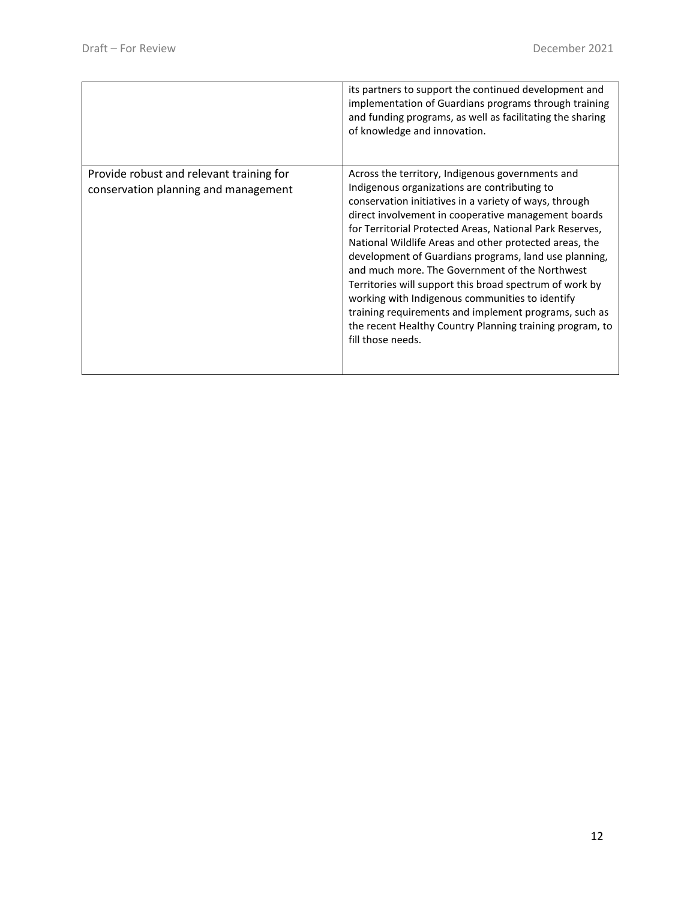|                                                                                  | its partners to support the continued development and<br>implementation of Guardians programs through training<br>and funding programs, as well as facilitating the sharing<br>of knowledge and innovation.                                                                                                                                                                                                                                                                                                                                                                                                                                                                                                |
|----------------------------------------------------------------------------------|------------------------------------------------------------------------------------------------------------------------------------------------------------------------------------------------------------------------------------------------------------------------------------------------------------------------------------------------------------------------------------------------------------------------------------------------------------------------------------------------------------------------------------------------------------------------------------------------------------------------------------------------------------------------------------------------------------|
| Provide robust and relevant training for<br>conservation planning and management | Across the territory, Indigenous governments and<br>Indigenous organizations are contributing to<br>conservation initiatives in a variety of ways, through<br>direct involvement in cooperative management boards<br>for Territorial Protected Areas, National Park Reserves,<br>National Wildlife Areas and other protected areas, the<br>development of Guardians programs, land use planning,<br>and much more. The Government of the Northwest<br>Territories will support this broad spectrum of work by<br>working with Indigenous communities to identify<br>training requirements and implement programs, such as<br>the recent Healthy Country Planning training program, to<br>fill those needs. |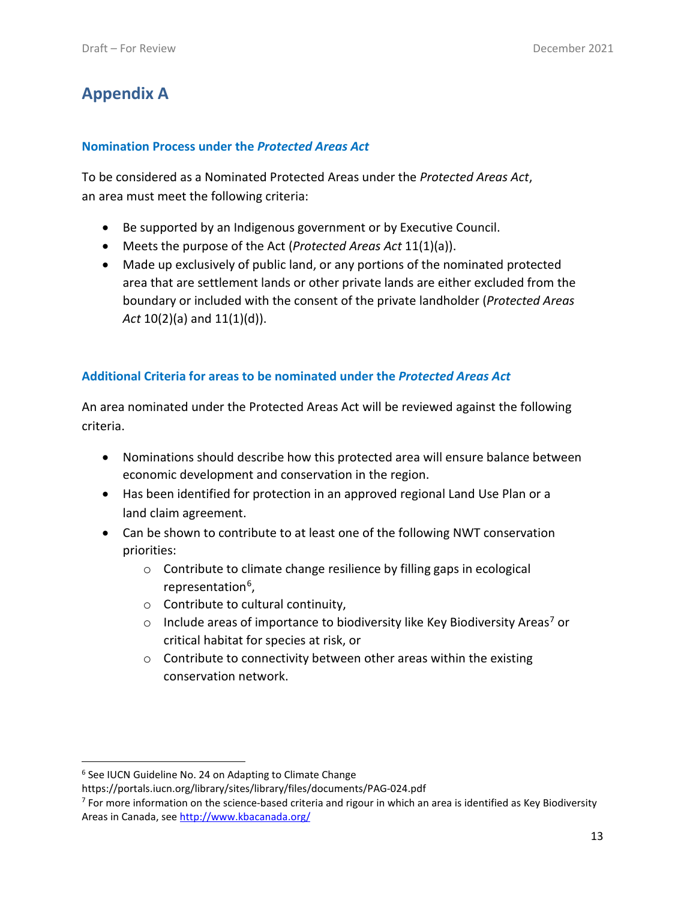### **Appendix A**

#### **Nomination Process under the** *Protected Areas Act*

To be considered as a Nominated Protected Areas under the *Protected Areas Act*, an area must meet the following criteria:

- Be supported by an Indigenous government or by Executive Council.
- Meets the purpose of the Act (*Protected Areas Act* 11(1)(a)).
- Made up exclusively of public land, or any portions of the nominated protected area that are settlement lands or other private lands are either excluded from the boundary or included with the consent of the private landholder (*Protected Areas Act* 10(2)(a) and 11(1)(d)).

#### **Additional Criteria for areas to be nominated under the** *Protected Areas Act*

An area nominated under the Protected Areas Act will be reviewed against the following criteria.

- Nominations should describe how this protected area will ensure balance between economic development and conservation in the region.
- Has been identified for protection in an approved regional Land Use Plan or a land claim agreement.
- Can be shown to contribute to at least one of the following NWT conservation priorities:
	- o Contribute to climate change resilience by filling gaps in ecological representation<sup>[6](#page-12-0)</sup>,
	- o Contribute to cultural continuity,
	- $\circ$  Include areas of importance to biodiversity like Key Biodiversity Areas<sup>[7](#page-12-1)</sup> or critical habitat for species at risk, or
	- $\circ$  Contribute to connectivity between other areas within the existing conservation network.

<span id="page-12-0"></span><sup>6</sup> See IUCN Guideline No. 24 on Adapting to Climate Change

https://portals.iucn.org/library/sites/library/files/documents/PAG-024.pdf

<span id="page-12-1"></span> $7$  For more information on the science-based criteria and rigour in which an area is identified as Key Biodiversity Areas in Canada, see<http://www.kbacanada.org/>